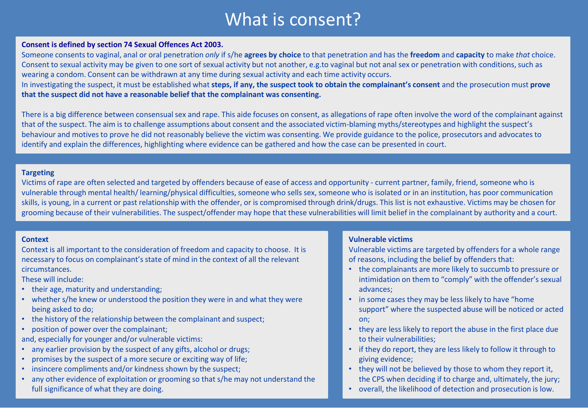# What is consent?

### **Consent is defined by section 74 Sexual Offences Act 2003.**

Someone consents to vaginal, anal or oral penetration *only* if s/he **agrees by choice** to that penetration and has the **freedom** and **capacity** to make *that* choice. Consent to sexual activity may be given to one sort of sexual activity but not another, e.g.to vaginal but not anal sex or penetration with conditions, such as wearing a condom. Consent can be withdrawn at any time during sexual activity and each time activity occurs.

In investigating the suspect, it must be established what **steps, if any, the suspect took to obtain the complainant's consent** and the prosecution must **prove that the suspect did not have a reasonable belief that the complainant was consenting.**

There is a big difference between consensual sex and rape. This aide focuses on consent, as allegations of rape often involve the word of the complainant against that of the suspect. The aim is to challenge assumptions about consent and the associated victim-blaming myths/stereotypes and highlight the suspect's behaviour and motives to prove he did not reasonably believe the victim was consenting. We provide guidance to the police, prosecutors and advocates to identify and explain the differences, highlighting where evidence can be gathered and how the case can be presented in court.

### **Targeting**

Victims of rape are often selected and targeted by offenders because of ease of access and opportunity - current partner, family, friend, someone who is vulnerable through mental health/ learning/physical difficulties, someone who sells sex, someone who is isolated or in an institution, has poor communication skills, is young, in a current or past relationship with the offender, or is compromised through drink/drugs. This list is not exhaustive. Victims may be chosen for grooming because of their vulnerabilities. The suspect/offender may hope that these vulnerabilities will limit belief in the complainant by authority and a court.

#### **Context**

Context is all important to the consideration of freedom and capacity to choose. It is necessary to focus on complainant's state of mind in the context of all the relevant circumstances.

These will include:

- their age, maturity and understanding;
- whether s/he knew or understood the position they were in and what they were being asked to do;
- the history of the relationship between the complainant and suspect;
- position of power over the complainant;

and, especially for younger and/or vulnerable victims:

- any earlier provision by the suspect of any gifts, alcohol or drugs;
- promises by the suspect of a more secure or exciting way of life;
- insincere compliments and/or kindness shown by the suspect;
- any other evidence of exploitation or grooming so that s/he may not understand the full significance of what they are doing.

# **Vulnerable victims**

Vulnerable victims are targeted by offenders for a whole range of reasons, including the belief by offenders that:

- the complainants are more likely to succumb to pressure or intimidation on them to "comply" with the offender's sexual advances;
- in some cases they may be less likely to have "home support" where the suspected abuse will be noticed or acted on;
- they are less likely to report the abuse in the first place due to their vulnerabilities;
- if they do report, they are less likely to follow it through to giving evidence;
- they will not be believed by those to whom they report it, the CPS when deciding if to charge and, ultimately, the jury;
- overall, the likelihood of detection and prosecution is low.